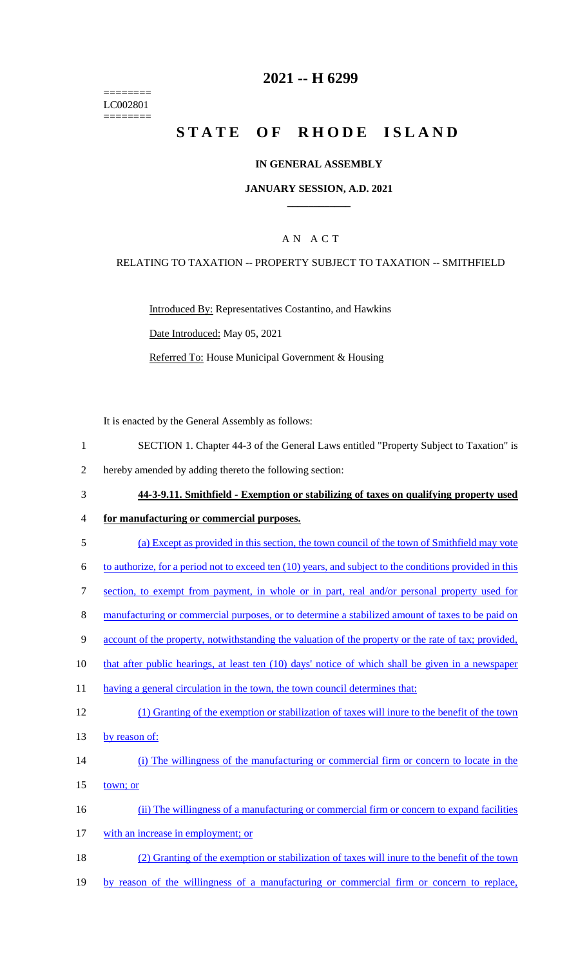======== LC002801 ========

## **2021 -- H 6299**

# **STATE OF RHODE ISLAND**

#### **IN GENERAL ASSEMBLY**

#### **JANUARY SESSION, A.D. 2021 \_\_\_\_\_\_\_\_\_\_\_\_**

### A N A C T

#### RELATING TO TAXATION -- PROPERTY SUBJECT TO TAXATION -- SMITHFIELD

Introduced By: Representatives Costantino, and Hawkins Date Introduced: May 05, 2021 Referred To: House Municipal Government & Housing

It is enacted by the General Assembly as follows:

- 1 SECTION 1. Chapter 44-3 of the General Laws entitled "Property Subject to Taxation" is
- 2 hereby amended by adding thereto the following section:
- 3 **44-3-9.11. Smithfield - Exemption or stabilizing of taxes on qualifying property used**
- 4 **for manufacturing or commercial purposes.**
- 5 (a) Except as provided in this section, the town council of the town of Smithfield may vote
- 6 to authorize, for a period not to exceed ten (10) years, and subject to the conditions provided in this
- 7 section, to exempt from payment, in whole or in part, real and/or personal property used for
- 8 manufacturing or commercial purposes, or to determine a stabilized amount of taxes to be paid on
- 9 account of the property, notwithstanding the valuation of the property or the rate of tax; provided,
- 10 that after public hearings, at least ten (10) days' notice of which shall be given in a newspaper
- 11 having a general circulation in the town, the town council determines that:
- 12 (1) Granting of the exemption or stabilization of taxes will inure to the benefit of the town 13 by reason of:
- 
- 14 (i) The willingness of the manufacturing or commercial firm or concern to locate in the
- 15 town; or
- 16 (ii) The willingness of a manufacturing or commercial firm or concern to expand facilities
- 17 with an increase in employment; or
- 18 (2) Granting of the exemption or stabilization of taxes will inure to the benefit of the town
- 19 by reason of the willingness of a manufacturing or commercial firm or concern to replace,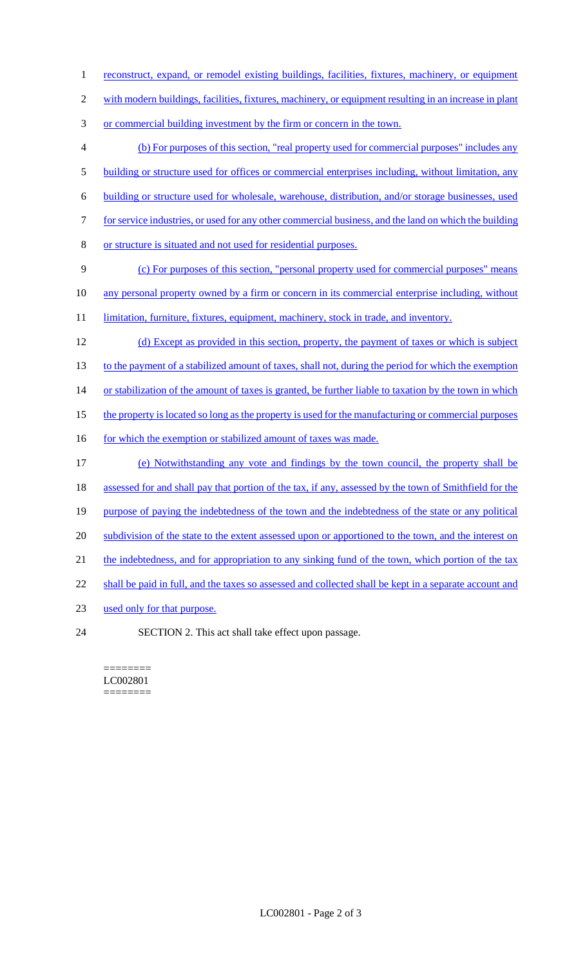- 1 reconstruct, expand, or remodel existing buildings, facilities, fixtures, machinery, or equipment
- 2 with modern buildings, facilities, fixtures, machinery, or equipment resulting in an increase in plant
- 3 or commercial building investment by the firm or concern in the town.
- 4 (b) For purposes of this section, "real property used for commercial purposes" includes any 5 building or structure used for offices or commercial enterprises including, without limitation, any 6 building or structure used for wholesale, warehouse, distribution, and/or storage businesses, used 7 for service industries, or used for any other commercial business, and the land on which the building 8 or structure is situated and not used for residential purposes. 9 (c) For purposes of this section, "personal property used for commercial purposes" means 10 any personal property owned by a firm or concern in its commercial enterprise including, without 11 limitation, furniture, fixtures, equipment, machinery, stock in trade, and inventory. 12 (d) Except as provided in this section, property, the payment of taxes or which is subject 13 to the payment of a stabilized amount of taxes, shall not, during the period for which the exemption 14 or stabilization of the amount of taxes is granted, be further liable to taxation by the town in which 15 the property is located so long as the property is used for the manufacturing or commercial purposes 16 for which the exemption or stabilized amount of taxes was made. 17 (e) Notwithstanding any vote and findings by the town council, the property shall be 18 assessed for and shall pay that portion of the tax, if any, assessed by the town of Smithfield for the 19 purpose of paying the indebtedness of the town and the indebtedness of the state or any political 20 subdivision of the state to the extent assessed upon or apportioned to the town, and the interest on 21 the indebtedness, and for appropriation to any sinking fund of the town, which portion of the tax 22 shall be paid in full, and the taxes so assessed and collected shall be kept in a separate account and 23 used only for that purpose. 24 SECTION 2. This act shall take effect upon passage.

======== LC002801 ========